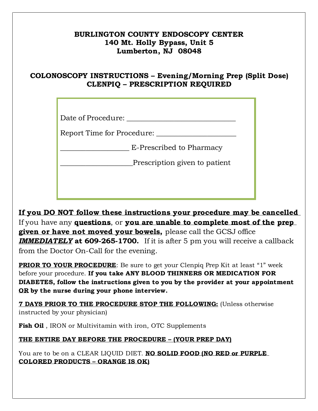## **BURLINGTON COUNTY ENDOSCOPY CENTER 140 Mt. Holly Bypass, Unit 5 Lumberton, NJ 08048**

## **COLONOSCOPY INSTRUCTIONS – Evening/Morning Prep (Split Dose) CLENPIQ – PRESCRIPTION REQUIRED**

Date of Procedure:

Report Time for Procedure: \_\_\_\_\_\_\_\_\_\_\_\_\_\_\_\_\_\_\_\_\_\_

Place of Procedure: \_\_\_\_\_\_\_\_\_\_\_\_\_\_\_\_\_\_\_\_\_\_\_\_\_\_\_\_\_\_ \_\_\_\_\_\_\_\_\_\_\_\_\_\_\_\_\_\_\_ E-Prescribed to Pharmacy

\_\_\_\_\_\_\_\_\_\_\_\_\_\_\_\_\_\_\_ E-Prescribed to Pharmacy \_\_\_\_\_\_\_\_\_\_\_\_\_\_\_\_\_\_\_\_Prescription given to patient

**If you DO NOT follow these instructions your procedure may be cancelled**  If you have any **questions**, or **you are unable to complete most of the prep given or have not moved your bowels,** please call the GCSJ office *IMMEDIATELY* **at 609-265-1700.** If it is after 5 pm you will receive a callback from the Doctor On-Call for the evening.

**PRIOR TO YOUR PROCEDURE**: Be sure to get your Clenpiq Prep Kit at least "1" week before your procedure. **If you take ANY BLOOD THINNERS OR MEDICATION FOR DIABETES, follow the instructions given to you by the provider at your appointment OR by the nurse during your phone interview.**

**7 DAYS PRIOR TO THE PROCEDURE STOP THE FOLLOWING:** (Unless otherwise instructed by your physician)

**Fish Oil** , IRON or Multivitamin with iron, OTC Supplements

**THE ENTIRE DAY BEFORE THE PROCEDURE – (YOUR PREP DAY)**

You are to be on a CLEAR LIQUID DIET. **NO SOLID FOOD (NO RED or PURPLE COLORED PRODUCTS – ORANGE IS OK)**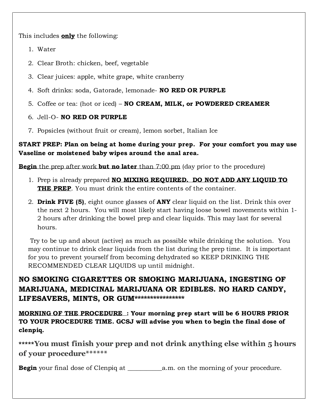This includes **only** the following:

- 1. Water
- 2. Clear Broth: chicken, beef, vegetable
- 3. Clear juices: apple, white grape, white cranberry
- 4. Soft drinks: soda, Gatorade, lemonade- **NO RED OR PURPLE**
- 5. Coffee or tea: (hot or iced) **NO CREAM, MILK, or POWDERED CREAMER**
- 6. Jell-O- **NO RED OR PURPLE**
- 7. Popsicles (without fruit or cream), lemon sorbet, Italian Ice

**START PREP: Plan on being at home during your prep. For your comfort you may use Vaseline or moistened baby wipes around the anal area.** 

**Begin** the prep after work **but no later** than 7:00 pm (day prior to the procedure)

- 1. Prep is already prepared **NO MIXING REQUIRED. DO NOT ADD ANY LIQUID TO THE PREP.** You must drink the entire contents of the container.
- 2. **Drink FIVE (5)**, eight ounce glasses of **ANY** clear liquid on the list. Drink this over the next 2 hours. You will most likely start having loose bowel movements within 1- 2 hours after drinking the bowel prep and clear liquids. This may last for several hours.

 Try to be up and about (active) as much as possible while drinking the solution. You may continue to drink clear liquids from the list during the prep time. It is important for you to prevent yourself from becoming dehydrated so KEEP DRINKING THE RECOMMENDED CLEAR LIQUIDS up until midnight.

**NO SMOKING CIGARETTES OR SMOKING MARIJUANA, INGESTING OF MARIJUANA, MEDICINAL MARIJUANA OR EDIBLES. NO HARD CANDY,**  LIFESAVERS, MINTS, OR GUM\*\*\*\*\*\*\*\*\*\*\*\*\*\*\*\*

**MORNING OF THE PROCEDURE : Your morning prep start will be 6 HOURS PRIOR TO YOUR PROCEDURE TIME. GCSJ will advise you when to begin the final dose of clenpiq.**

**\*\*\*\*\*You must finish your prep and not drink anything else within 5 hours of your procedure\*\*\*\*\*\***

**Begin** your final dose of Clenpiq at \_\_\_\_\_\_\_\_\_\_\_a.m. on the morning of your procedure.